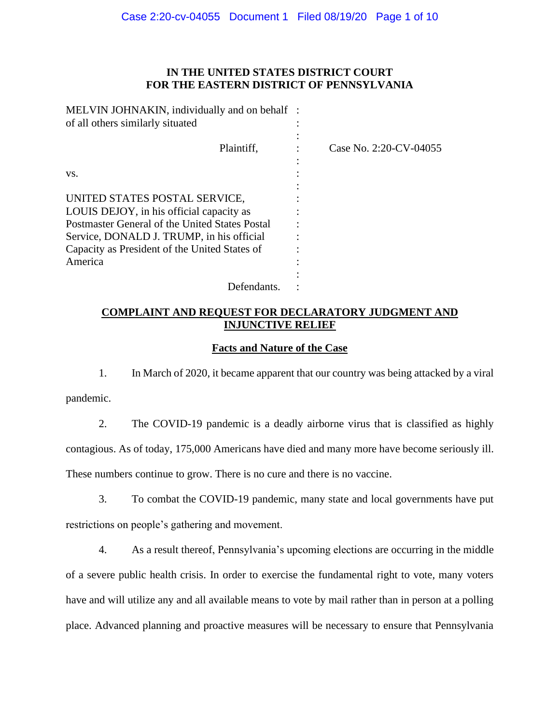# **IN THE UNITED STATES DISTRICT COURT FOR THE EASTERN DISTRICT OF PENNSYLVANIA**

| MELVIN JOHNAKIN, individually and on behalf :<br>of all others similarly situated |                        |
|-----------------------------------------------------------------------------------|------------------------|
| Plaintiff,                                                                        | Case No. 2:20-CV-04055 |
| VS.                                                                               |                        |
| UNITED STATES POSTAL SERVICE,                                                     |                        |
| LOUIS DEJOY, in his official capacity as                                          |                        |
| Postmaster General of the United States Postal                                    |                        |
| Service, DONALD J. TRUMP, in his official                                         |                        |
| Capacity as President of the United States of                                     |                        |
| America                                                                           |                        |
|                                                                                   |                        |
| Defendants.                                                                       |                        |

# **COMPLAINT AND REQUEST FOR DECLARATORY JUDGMENT AND INJUNCTIVE RELIEF**

## **Facts and Nature of the Case**

1. In March of 2020, it became apparent that our country was being attacked by a viral pandemic.

2. The COVID-19 pandemic is a deadly airborne virus that is classified as highly contagious. As of today, 175,000 Americans have died and many more have become seriously ill. These numbers continue to grow. There is no cure and there is no vaccine.

3. To combat the COVID-19 pandemic, many state and local governments have put restrictions on people's gathering and movement.

4. As a result thereof, Pennsylvania's upcoming elections are occurring in the middle of a severe public health crisis. In order to exercise the fundamental right to vote, many voters have and will utilize any and all available means to vote by mail rather than in person at a polling place. Advanced planning and proactive measures will be necessary to ensure that Pennsylvania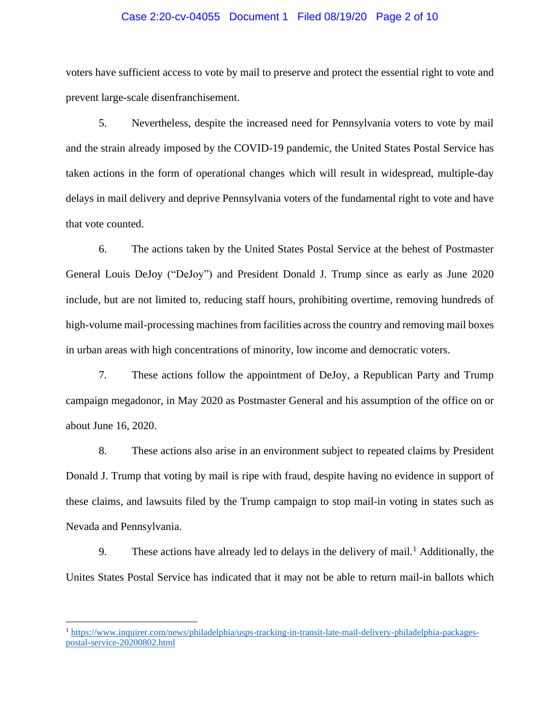### Case 2:20-cv-04055 Document 1 Filed 08/19/20 Page 2 of 10

voters have sufficient access to vote by mail to preserve and protect the essential right to vote and prevent large-scale disenfranchisement.

5. Nevertheless, despite the increased need for Pennsylvania voters to vote by mail and the strain already imposed by the COVID-19 pandemic, the United States Postal Service has taken actions in the form of operational changes which will result in widespread, multiple-day delays in mail delivery and deprive Pennsylvania voters of the fundamental right to vote and have that vote counted.

6. The actions taken by the United States Postal Service at the behest of Postmaster General Louis DeJoy ("DeJoy") and President Donald J. Trump since as early as June 2020 include, but are not limited to, reducing staff hours, prohibiting overtime, removing hundreds of high-volume mail-processing machines from facilities across the country and removing mail boxes in urban areas with high concentrations of minority, low income and democratic voters.

7. These actions follow the appointment of DeJoy, a Republican Party and Trump campaign megadonor, in May 2020 as Postmaster General and his assumption of the office on or about June 16, 2020.

8. These actions also arise in an environment subject to repeated claims by President Donald J. Trump that voting by mail is ripe with fraud, despite having no evidence in support of these claims, and lawsuits filed by the Trump campaign to stop mail-in voting in states such as Nevada and Pennsylvania.

9. These actions have already led to delays in the delivery of mail.<sup>1</sup> Additionally, the Unites States Postal Service has indicated that it may not be able to return mail-in ballots which

<sup>1</sup> [https://www.inquirer.com/news/philadelphia/usps-tracking-in-transit-late-mail-delivery-philadelphia-packages](https://www.inquirer.com/news/philadelphia/usps-tracking-in-transit-late-mail-delivery-philadelphia-packages-postal-service-20200802.html)[postal-service-20200802.html](https://www.inquirer.com/news/philadelphia/usps-tracking-in-transit-late-mail-delivery-philadelphia-packages-postal-service-20200802.html)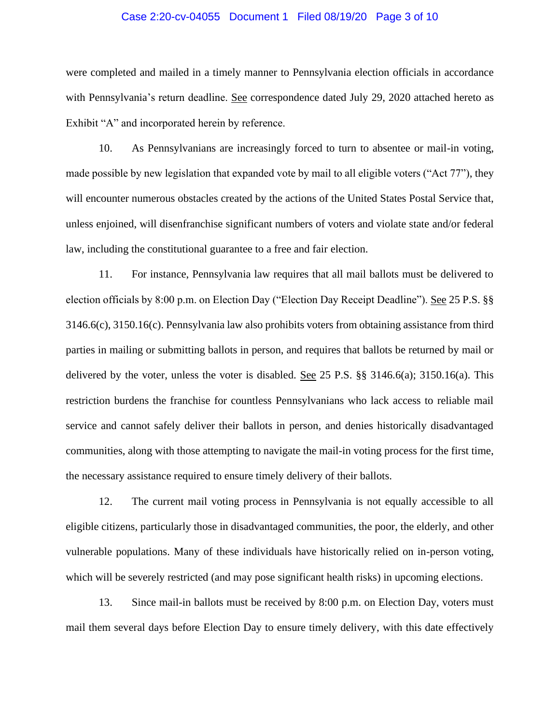## Case 2:20-cv-04055 Document 1 Filed 08/19/20 Page 3 of 10

were completed and mailed in a timely manner to Pennsylvania election officials in accordance with Pennsylvania's return deadline. See correspondence dated July 29, 2020 attached hereto as Exhibit "A" and incorporated herein by reference.

10. As Pennsylvanians are increasingly forced to turn to absentee or mail-in voting, made possible by new legislation that expanded vote by mail to all eligible voters ("Act 77"), they will encounter numerous obstacles created by the actions of the United States Postal Service that, unless enjoined, will disenfranchise significant numbers of voters and violate state and/or federal law, including the constitutional guarantee to a free and fair election.

11. For instance, Pennsylvania law requires that all mail ballots must be delivered to election officials by 8:00 p.m. on Election Day ("Election Day Receipt Deadline"). See 25 P.S. §§ 3146.6(c), 3150.16(c). Pennsylvania law also prohibits voters from obtaining assistance from third parties in mailing or submitting ballots in person, and requires that ballots be returned by mail or delivered by the voter, unless the voter is disabled. See 25 P.S. §§ 3146.6(a); 3150.16(a). This restriction burdens the franchise for countless Pennsylvanians who lack access to reliable mail service and cannot safely deliver their ballots in person, and denies historically disadvantaged communities, along with those attempting to navigate the mail-in voting process for the first time, the necessary assistance required to ensure timely delivery of their ballots.

12. The current mail voting process in Pennsylvania is not equally accessible to all eligible citizens, particularly those in disadvantaged communities, the poor, the elderly, and other vulnerable populations. Many of these individuals have historically relied on in-person voting, which will be severely restricted (and may pose significant health risks) in upcoming elections.

13. Since mail-in ballots must be received by 8:00 p.m. on Election Day, voters must mail them several days before Election Day to ensure timely delivery, with this date effectively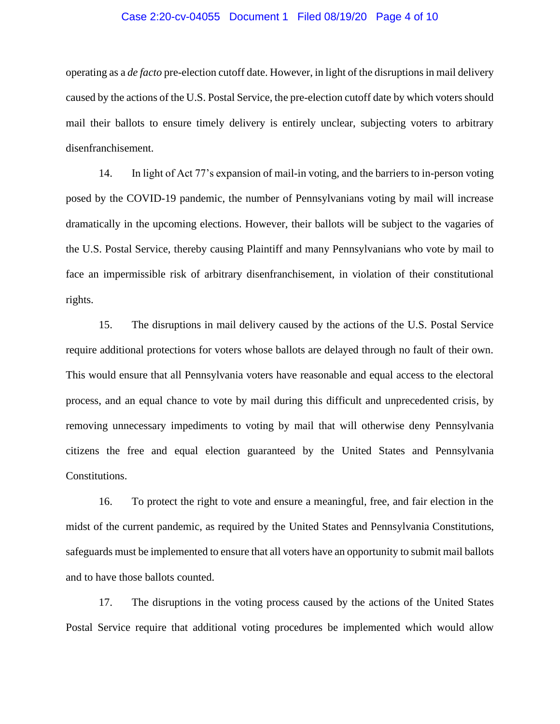### Case 2:20-cv-04055 Document 1 Filed 08/19/20 Page 4 of 10

operating as a *de facto* pre-election cutoff date. However, in light of the disruptions in mail delivery caused by the actions of the U.S. Postal Service, the pre-election cutoff date by which voters should mail their ballots to ensure timely delivery is entirely unclear, subjecting voters to arbitrary disenfranchisement.

14. In light of Act 77's expansion of mail-in voting, and the barriers to in-person voting posed by the COVID-19 pandemic, the number of Pennsylvanians voting by mail will increase dramatically in the upcoming elections. However, their ballots will be subject to the vagaries of the U.S. Postal Service, thereby causing Plaintiff and many Pennsylvanians who vote by mail to face an impermissible risk of arbitrary disenfranchisement, in violation of their constitutional rights.

15. The disruptions in mail delivery caused by the actions of the U.S. Postal Service require additional protections for voters whose ballots are delayed through no fault of their own. This would ensure that all Pennsylvania voters have reasonable and equal access to the electoral process, and an equal chance to vote by mail during this difficult and unprecedented crisis, by removing unnecessary impediments to voting by mail that will otherwise deny Pennsylvania citizens the free and equal election guaranteed by the United States and Pennsylvania Constitutions.

16. To protect the right to vote and ensure a meaningful, free, and fair election in the midst of the current pandemic, as required by the United States and Pennsylvania Constitutions, safeguards must be implemented to ensure that all voters have an opportunity to submit mail ballots and to have those ballots counted.

17. The disruptions in the voting process caused by the actions of the United States Postal Service require that additional voting procedures be implemented which would allow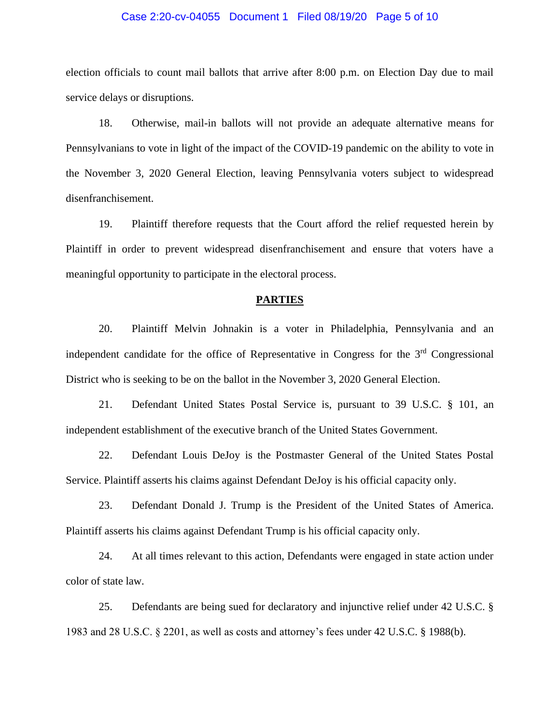### Case 2:20-cv-04055 Document 1 Filed 08/19/20 Page 5 of 10

election officials to count mail ballots that arrive after 8:00 p.m. on Election Day due to mail service delays or disruptions.

18. Otherwise, mail-in ballots will not provide an adequate alternative means for Pennsylvanians to vote in light of the impact of the COVID-19 pandemic on the ability to vote in the November 3, 2020 General Election, leaving Pennsylvania voters subject to widespread disenfranchisement.

19. Plaintiff therefore requests that the Court afford the relief requested herein by Plaintiff in order to prevent widespread disenfranchisement and ensure that voters have a meaningful opportunity to participate in the electoral process.

### **PARTIES**

20. Plaintiff Melvin Johnakin is a voter in Philadelphia, Pennsylvania and an independent candidate for the office of Representative in Congress for the  $3<sup>rd</sup>$  Congressional District who is seeking to be on the ballot in the November 3, 2020 General Election.

21. Defendant United States Postal Service is, pursuant to 39 U.S.C. § 101, an independent establishment of the executive branch of the United States Government.

22. Defendant Louis DeJoy is the Postmaster General of the United States Postal Service. Plaintiff asserts his claims against Defendant DeJoy is his official capacity only.

23. Defendant Donald J. Trump is the President of the United States of America. Plaintiff asserts his claims against Defendant Trump is his official capacity only.

24. At all times relevant to this action, Defendants were engaged in state action under color of state law.

25. Defendants are being sued for declaratory and injunctive relief under 42 U.S.C. § 1983 and 28 U.S.C. § 2201, as well as costs and attorney's fees under 42 U.S.C. § 1988(b).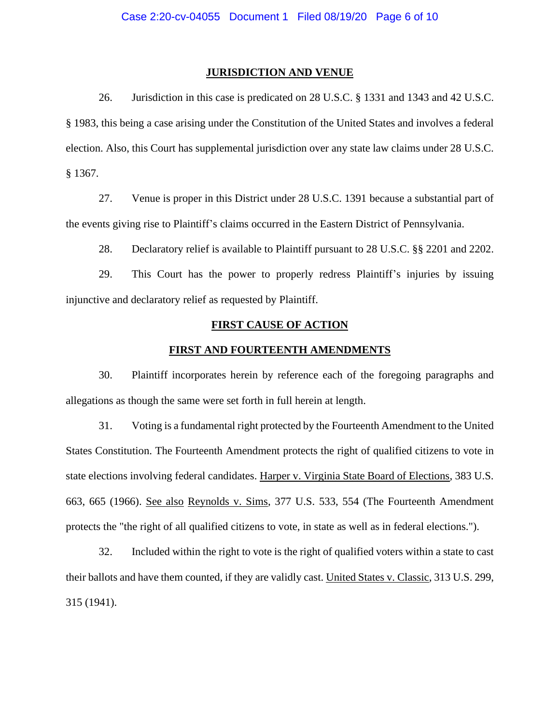#### **JURISDICTION AND VENUE**

26. Jurisdiction in this case is predicated on 28 U.S.C. § 1331 and 1343 and 42 U.S.C. § 1983, this being a case arising under the Constitution of the United States and involves a federal election. Also, this Court has supplemental jurisdiction over any state law claims under 28 U.S.C. § 1367.

27. Venue is proper in this District under 28 U.S.C. 1391 because a substantial part of the events giving rise to Plaintiff's claims occurred in the Eastern District of Pennsylvania.

28. Declaratory relief is available to Plaintiff pursuant to 28 U.S.C. §§ 2201 and 2202.

29. This Court has the power to properly redress Plaintiff's injuries by issuing injunctive and declaratory relief as requested by Plaintiff.

# **FIRST CAUSE OF ACTION**

### **FIRST AND FOURTEENTH AMENDMENTS**

30. Plaintiff incorporates herein by reference each of the foregoing paragraphs and allegations as though the same were set forth in full herein at length.

31. Voting is a fundamental right protected by the Fourteenth Amendment to the United States Constitution. The Fourteenth Amendment protects the right of qualified citizens to vote in state elections involving federal candidates. Harper v. Virginia State Board of Elections, 383 U.S. 663, 665 (1966). See also Reynolds v. Sims, 377 U.S. 533, 554 (The Fourteenth Amendment protects the "the right of all qualified citizens to vote, in state as well as in federal elections.").

32. Included within the right to vote is the right of qualified voters within a state to cast their ballots and have them counted, if they are validly cast. United States v. Classic, 313 U.S. 299, 315 (1941).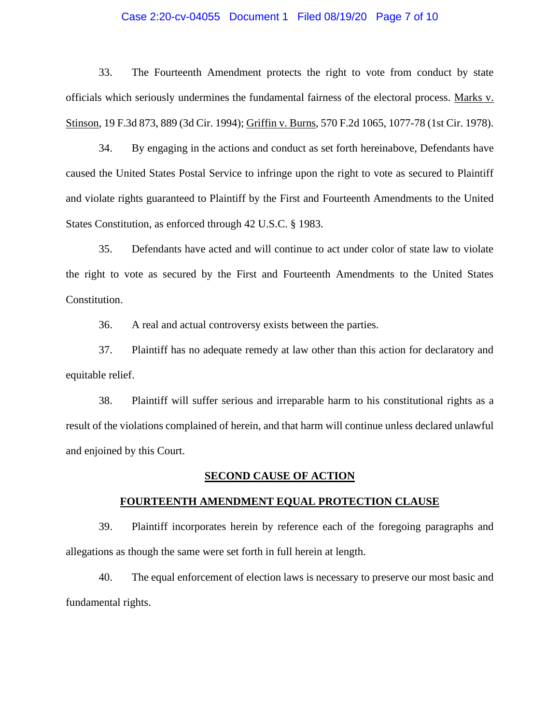## Case 2:20-cv-04055 Document 1 Filed 08/19/20 Page 7 of 10

33. The Fourteenth Amendment protects the right to vote from conduct by state officials which seriously undermines the fundamental fairness of the electoral process. Marks v. Stinson, 19 F.3d 873, 889 (3d Cir. 1994); Griffin v. Burns, 570 F.2d 1065, 1077-78 (1st Cir. 1978).

34. By engaging in the actions and conduct as set forth hereinabove, Defendants have caused the United States Postal Service to infringe upon the right to vote as secured to Plaintiff and violate rights guaranteed to Plaintiff by the First and Fourteenth Amendments to the United States Constitution, as enforced through 42 U.S.C. § 1983.

35. Defendants have acted and will continue to act under color of state law to violate the right to vote as secured by the First and Fourteenth Amendments to the United States Constitution.

36. A real and actual controversy exists between the parties.

37. Plaintiff has no adequate remedy at law other than this action for declaratory and equitable relief.

38. Plaintiff will suffer serious and irreparable harm to his constitutional rights as a result of the violations complained of herein, and that harm will continue unless declared unlawful and enjoined by this Court.

### **SECOND CAUSE OF ACTION**

#### **FOURTEENTH AMENDMENT EQUAL PROTECTION CLAUSE**

39. Plaintiff incorporates herein by reference each of the foregoing paragraphs and allegations as though the same were set forth in full herein at length.

40. The equal enforcement of election laws is necessary to preserve our most basic and fundamental rights.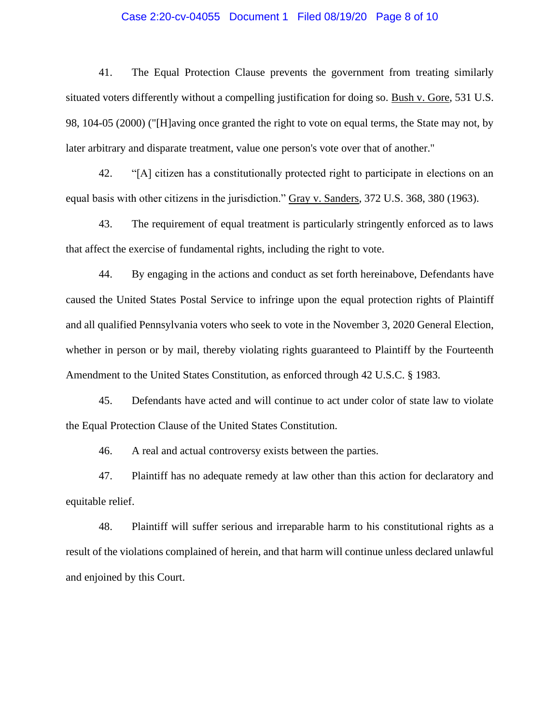## Case 2:20-cv-04055 Document 1 Filed 08/19/20 Page 8 of 10

41. The Equal Protection Clause prevents the government from treating similarly situated voters differently without a compelling justification for doing so. Bush v. Gore, 531 U.S. 98, 104-05 (2000) ("[H]aving once granted the right to vote on equal terms, the State may not, by later arbitrary and disparate treatment, value one person's vote over that of another."

42. "[A] citizen has a constitutionally protected right to participate in elections on an equal basis with other citizens in the jurisdiction." Gray v. Sanders, 372 U.S. 368, 380 (1963).

43. The requirement of equal treatment is particularly stringently enforced as to laws that affect the exercise of fundamental rights, including the right to vote.

44. By engaging in the actions and conduct as set forth hereinabove, Defendants have caused the United States Postal Service to infringe upon the equal protection rights of Plaintiff and all qualified Pennsylvania voters who seek to vote in the November 3, 2020 General Election, whether in person or by mail, thereby violating rights guaranteed to Plaintiff by the Fourteenth Amendment to the United States Constitution, as enforced through 42 U.S.C. § 1983.

45. Defendants have acted and will continue to act under color of state law to violate the Equal Protection Clause of the United States Constitution.

46. A real and actual controversy exists between the parties.

47. Plaintiff has no adequate remedy at law other than this action for declaratory and equitable relief.

48. Plaintiff will suffer serious and irreparable harm to his constitutional rights as a result of the violations complained of herein, and that harm will continue unless declared unlawful and enjoined by this Court.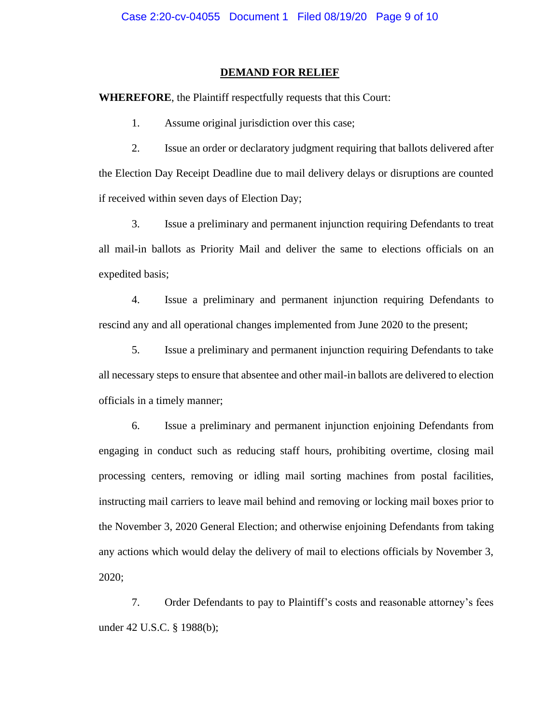#### **DEMAND FOR RELIEF**

**WHEREFORE**, the Plaintiff respectfully requests that this Court:

1. Assume original jurisdiction over this case;

2. Issue an order or declaratory judgment requiring that ballots delivered after the Election Day Receipt Deadline due to mail delivery delays or disruptions are counted if received within seven days of Election Day;

3. Issue a preliminary and permanent injunction requiring Defendants to treat all mail-in ballots as Priority Mail and deliver the same to elections officials on an expedited basis;

4. Issue a preliminary and permanent injunction requiring Defendants to rescind any and all operational changes implemented from June 2020 to the present;

5. Issue a preliminary and permanent injunction requiring Defendants to take all necessary steps to ensure that absentee and other mail-in ballots are delivered to election officials in a timely manner;

6. Issue a preliminary and permanent injunction enjoining Defendants from engaging in conduct such as reducing staff hours, prohibiting overtime, closing mail processing centers, removing or idling mail sorting machines from postal facilities, instructing mail carriers to leave mail behind and removing or locking mail boxes prior to the November 3, 2020 General Election; and otherwise enjoining Defendants from taking any actions which would delay the delivery of mail to elections officials by November 3, 2020;

7. Order Defendants to pay to Plaintiff's costs and reasonable attorney's fees under 42 U.S.C. § 1988(b);